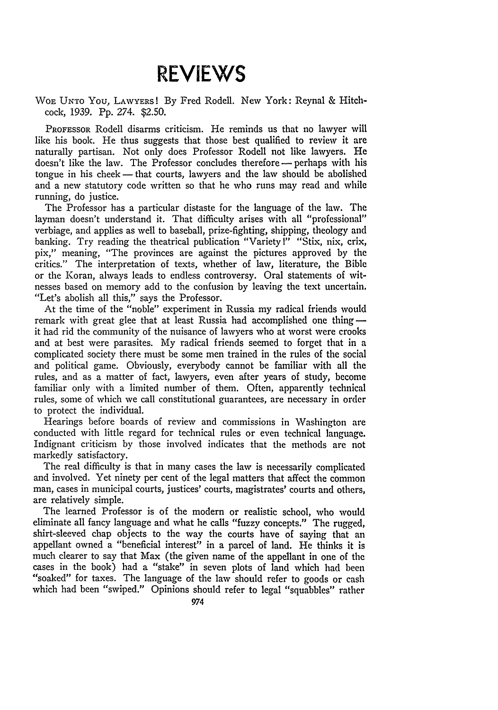## **REVIEWS**

WOE UNTO You, LAWYERS! By Fred Rodell. New York: Reynal & Hitchcock, 1939. Pp. 274. \$2.50.

PROFESSOR Rodell disarms criticism. He reminds us that no lawyer will like his book. He thus suggests that those best qualified to review it are naturally partisan. Not only does Professor Rodell not like lawyers. He doesn't like the law. The Professor concludes therefore **-** perhaps with his tongue in his cheek **-** that courts, lawyers and the law should be abolished and a new statutory code written so that he who runs may read and while running, do justice.

The Professor has a particular distaste for the language of the law. The layman doesn't understand it. That difficulty arises with all "professional" verbiage, and applies as well to baseball, prize-fighting, shipping, theology and banking. Try reading the theatrical publication "Variety !" "Stix, nix, crix, pix," meaning, "The provinces are against the pictures approved by the critics." The interpretation of texts, whether of law, literature, the Bible or the Koran, always leads to endless controversy. Oral statements of witnesses based on memory add to the confusion by leaving the text uncertain. "Let's abolish all this," says the Professor.

At the time of the "noble" experiment in Russia my radical friends would remark with great glee that at least Russia had accomplished one thingit had rid the community of the nuisance of lawyers who at worst were crooks and at best were parasites. My radical friends seemed to forget that in a complicated society there must be some men trained in the rules of the social and political game. Obviously, everybody cannot be familiar with all the rules, and as a matter of fact, lawyers, even after years of study, become familiar only with a limited number of them. Often, apparently technical rules, some of which we call constitutional guarantees, are necessary in order to protect the individual.

Hearings before boards of review and commissions in Washington are conducted with little regard for technical rules or even technical language. Indignant criticism by those involved indicates that the methods are not markedly satisfactory.

The real difficulty is that in many cases the law is necessarily complicated and involved. Yet ninety per cent of the legal matters that affect the common man, cases in municipal courts, justices' courts, magistrates' courts and others, are relatively simple.

The learned Professor is of the modern or realistic school, who would eliminate all fancy language and what he calls "fuzzy concepts." The rugged, shirt-sleeved chap objects to the way the courts have of saying that an appellant owned a "beneficial interest" in a parcel of land. He thinks it is much clearer to say that Max (the given name of the appellant in one of the cases in the book) had a "stake" in seven plots of land which had been "soaked" for taxes. The language of the law should refer to goods or cash which had been "swiped." Opinions should refer to legal "squabbles" rather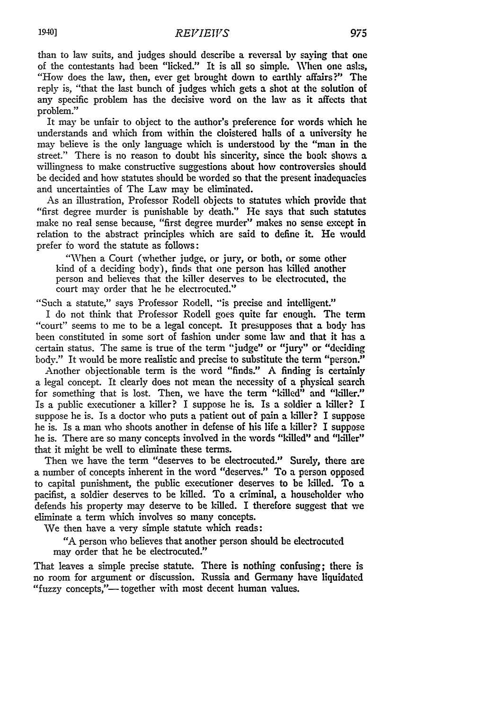than to law suits, and judges should describe a reversal by saying that one of the contestants had been "licked." It is all so simple. When one asks, "How does the law, then, ever get brought down to earthly affairs?" The reply is, "that the last bunch of judges which gets a shot at the solution of any specific problem has the decisive word on the law as it affects that problem."

It may be unfair to object to the author's preference for words which he understands and which from within the cloistered halls of a university he may believe is the only language which is understood **by** the "man in the street." There is no reason to doubt his sincerity, since the book shows a willingness to make constructive suggestions about **how** controversies should be decided and how statutes should be worded so that the present inadequacies and uncertainties of The Law **may** be eliminated.

As an illustration, Professor Rodell objects to statutes which provide that "first degree murder is punishable **by** death." He says that such statutes make no real sense because, "first degree murder" makes no sense except in relation to the abstract principles which are said to define it. He would prefer fo word the statute as follows:

"When a Court (whether judge, or jury, or both, or some other kind of a deciding body), finds that one person has killed another person and believes that the killer deserves to be electrocuted, the court may order that he be electrocuted."

"Such a statute," says Professor Rodell, **"is** precise and intelligent."

I do not think that Professor Rodell goes quite far enough. The term "court" seems to me to be a legal concept. It presupposes that a body has been constituted in some sort of fashion under some law and that it has a certain status. The same is true of the term "judge" or "jury" or "deciding body." It would be more realistic and precise to substitute the term "person."

Another objectionable term is the word "finds." **A** finding is certainly a legal concept. It clearly does not mean the necessity of a physical search for something that is lost. Then, we have the term "killed" and "killer." Is a public executioner a killer? I suppose he is. Is a soldier a killer? I suppose **he** is. Is a doctor who puts a patient out of pain a killer? I suppose he is. Is a man who shoots another in defense of his life a killer? I suppose he is. There are so many concepts involved in the words **"killed"** and "killer" that it might be well to eliminate these terms.

Then we have the term "deserves to be electrocuted." Surely, there are a number of concepts inherent in the word "deserves." To a person opposed to capital punishment, the public executioner deserves to be killed. To a pacifist, a soldier deserves to be killed. To a criminal, a householder who defends his property may deserve to be killed. I therefore suggest that we eliminate a term which involves so many concepts.

We then have a very simple statute which reads:

**"A** person **who** believes that another person should be electrocuted may order that he be electrocuted."

That leaves a simple precise statute. There is nothing confusing; there is no room for argument or discussion. Russia and Germany have liquidated "fuzzy concepts,"— together with most decent human values.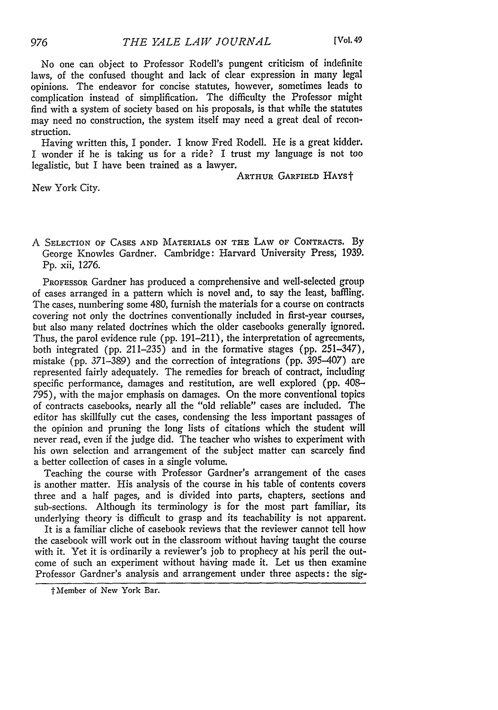No one can object to Professor Rodell's pungent criticism of indefinite laws, of the confused thought and lack of clear expression in many legal opinions. The endeavor for concise statutes, however, sometimes leads to complication instead of simplification. The difficulty the Professor might find with a system of society based on his proposals, is that while the statutes may need no construction, the system itself may need a great deal of reconstruction.

Having written this, I ponder. I know Fred Rodell. He is a great kidder. I wonder if he is taking us for a ride? I trust my language is not too legalistic, but I have been trained as a lawyer.

ARTHUR GARFIELD HAYSt

New York City.

A SELECTION OF CASES AND MATERIALS ON THE LAW OF CONTRACTS. By George Knowles Gardner. Cambridge: Harvard University Press; 1939. Pp. xii, 1276.

PROFESSOR Gardner has produced a comprehensive and well-selected group of cases arranged in a pattern which is novel and, to say the least, baffling. The cases, numbering some 480, furnish the materials for a course on contracts covering not only the doctrines conventionally included in first-year courses, but also many related doctrines which the older casebooks generally ignored. Thus, the parol evidence rule (pp. 191-211), the interpretation of agreements, both integrated (pp. 211-235) and in the formative stages (pp. 251-347), mistake (pp. 371-389) and the correction of integrations (pp. 395-407) are represented fairly adequately. The remedies for breach of contract, including specific performance, damages and restitution, are well explored (pp. 408-795), with the major emphasis on damages. On the more conventional topics of contracts casebooks, nearly all the "old reliable" cases are included. The editor has skillfully cut the cases, condensing the less important passages of the opinion and pruning the long lists of citations which the student will never read, even if the judge did. The teacher who wishes to experiment with his own selection and arrangement of the subject matter can scarcely find a better collection of cases in a single volume.

Teaching the course with Professor Gardner's arrangement of the cases is another matter. His analysis of the course in his table of contents covers three and a half pages, and is divided into parts, chapters, sections and sub-sections. Although its terminology is for the most part familiar, its underlying theory is difficult to grasp and its teachability is not apparent.

It is a familiar cliche of casebook reviews that the reviewer cannot tell how the casebook will work out in the classroom without having taught the course with it. Yet it is ordinarily a reviewer's job to prophecy at his peril the outcome of such an experiment without having made it. Let us then examine Professor Gardner's analysis and arrangement under three aspects: the sig-

tMember of New York Bar.

976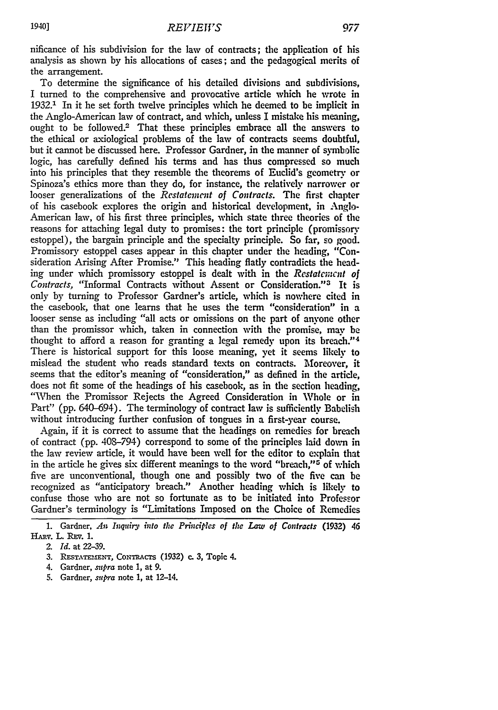nificance of his subdivision for the law of contracts; the application of his analysis as shown by his allocations of cases; and the pedagogical merits of the arrangement.

To determine the significance of his detailed divisions and subdivisions, I turned to the comprehensive and provocative article which he wrote in 1932.1 In it he set forth twelve principles which he deemed to be implicit in the Anglo-American law of contract, and which, unless I mistake his meaning, ought to be followed.2 That these principles embrace all the answers to the ethical or axiological problems of the law of contracts seems doubtful, but it cannot be discussed here. Professor Gardner, in the manner of symbolic logic, has carefully defined his terms and has thus compressed so much into his principles that they resemble the theorems of Euclid's geometry or Spinoza's ethics more than they do, for instance, the relatively narrower or looser generalizations of the *Restatement* of *Contracts*. The first chapter of his casebook explores the origin and historical development, in Anglo-American law, of his first three principles, which state three theories **of** the reasons for attaching legal duty to promises: the tort principle (promissory estoppel), the bargain principle and the specialty principle. So far, so good. Promissory estoppel cases appear in this chapter under the heading, "Consideration Arising After Promise." This heading flatly contradicts the heading under which promissory estoppel is dealt with in the *Restatcmcnt of* Contracts, "Informal Contracts without Assent or Consideration."<sup>3</sup> It is only by turning to Professor Gardner's article, which is nowhere cited in the casebook, that one learns that he uses the term "consideration" in a looser sense as including "all acts or omissions on the part of anyone other than the promissor which, taken in connection with the promise, may be thought to afford a reason for granting a legal remedy upon its breach."4 There is historical support for this loose meaning, yet it seems likely to mislead the student who reads standard texts on contracts. Moreover, it seems that the editor's meaning of "consideration," as defined in the article, does not fit some of the headings of his casebook, as in the section heading, "When the Promissor Rejects the Agreed Consideration in Whole or in Part" (pp. 640–694). The terminology of contract law is sufficiently Babelish without introducing further confusion of tongues in a first-year course.

Again, if it is correct to assume that the headings on remedies for breach of contract (pp. 408-794) correspond to some of the principles laid down in the law review article, it would have been well for the editor to explain that in the article he gives six different meanings to the word "breach,"<sup>5</sup> of which five are unconventional, though one and possibly two of the five can be recognized as "anticipatory breach." Another heading which is likely to confuse those who are not so fortunate as to be initiated into Professor Gardner's terminology is "Limitations Imposed on the Choice of Remedies

- 4. Gardner, *supra* note 1, at 9.
- 5. Gardner, *supra* note 1, at 12-14.

**<sup>1.</sup>** Gardner, *An Inquiry into the Principles of the Law of Contracts* (1932) 46 HARV. L. REV. 1.

*<sup>2.</sup> Id.* at 22-39.

<sup>3.</sup> RESTATEMENT, CONTRACTS (1932) c. 3, Topic 4.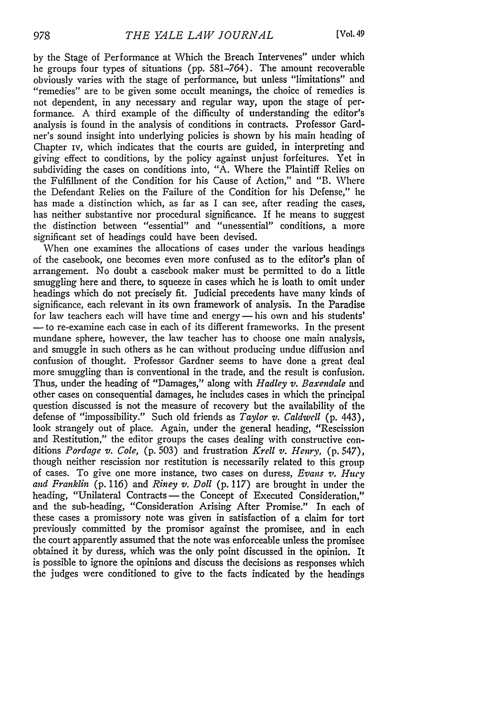by the Stage of Performance at Which the Breach Intervenes" under which he groups four types of situations (pp. 581-764). The amount recoverable obviously varies with the stage of performance, but unless "limitations" and "remedies" are to be given some occult meanings, the choice of remedies is not dependent, in any necessary and regular way, upon the stage of performance. A third example of the difficulty of understanding the editor's analysis is found in the analysis of conditions in contracts. Professor Gardner's sound insight into underlying policies is shown by his main heading of Chapter Iv, which indicates that the courts are guided, in interpreting and giving effect to conditions, by the policy against unjust forfeitures. Yet in subdividing the cases on conditions into, "A. Where the Plaintiff Relies on the Fulfillment of the Condition for his Cause of Action," and "B. Where the Defendant Relies on the Failure of the Condition for his Defense," he has made a distinction which, as far as I can see, after reading the cases, has neither substantive nor procedural significance. If he means to suggest the distinction between "essential" and "unessential" conditions, a more significant set of headings could have been devised.

When one examines the allocations of cases under the various headings of the casebook, one becomes even more confused as to the editor's plan of arrangement. No doubt a casebook maker must be permitted to do a little smuggling here and there, to squeeze in cases which he is loath to omit under headings which do not precisely fit. Judicial precedents have many kinds of significance, each relevant in its own framework of analysis. In the Paradise for law teachers each will have time and energy-his own and his students' - to re-examine each case in each of its different frameworks. In the present mundane sphere, however, the law teacher has to choose one main analysis, and smuggle in such others as he can without producing undue diffusion and confusion of thought. Professor Gardner seems to have done a great deal more smuggling than is conventional in the trade, and the result is confusion. Thus, under the heading of "Damages," along with *Hadley v. Baxendale* and other cases on consequential damages, he includes cases in which the principal question discussed is not the measure of recovery but the availability of the defense of "impossibility." Such old friends as *Taylor v. Caldwell* (p. 443), look strangely out of place. Again, under the general heading, "Rescission and Restitution," the editor groups the cases dealing with constructive conditions *Pordage v. Cole,* (p. 503) and frustration *Krell v. Henry, (p.* 547), though neither rescission nor restitution is necessarily related to this group of cases. To give one more instance, two cases on duress, *Evans v. Hucy and Franklin* (p. 116) and *Riney v. Doll* (p. 117) are brought in under the heading, "Unilateral Contracts- the Concept of Executed Consideration," and the sub-heading, "Consideration Arising After Promise." In each of these cases a promissory note was given in satisfaction of a claim for tort previously committed by the promisor against the promisee, and in each the court apparently assumed that the note was enforceable unless the promisee obtained it by duress, which was the only point discussed in the opinion. It is possible to ignore the opinions and discuss the decisions as responses which the judges were conditioned to give to the facts indicated by the headings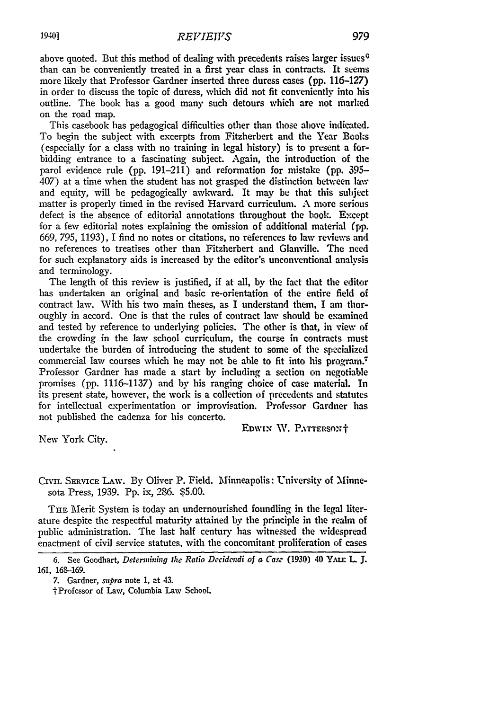above quoted. But this method of dealing with precedents raises larger issues $<sup>0</sup>$ </sup> than can be conveniently treated in a first year class in contracts. It seems more likely that Professor Gardner inserted three duress cases (pp. 116-127) in order to discuss the topic of duress, which did not fit conveniently into his outline. The book has a good many such detours which are not marked on the road map.

This casebook has pedagogical difficulties other than those above indicated. To begin the subject with excerpts from Fitzherbert and the Year Bools (especially for a class with no training in legal history) is to present a forbidding entrance to a fascinating subject. Again, the introduction of the parol evidence rule (pp. 191-211) and reformation for mistake (pp. 395- 407) at a time when the student has not grasped the distinction between law and equity, will be pedagogically awkward. It may be that this subject matter is properly timed in the revised Harvard curriculum. A more serious defect is the absence of editorial annotations throughout the book. Except for a few editorial notes explaining the omission of additional material (pp. 669, *795,* 1193), I find no notes or citations, no references to law reviews and no references to treatises other than Fitzherbert and Glanville. The need for such explanatory aids is increased by the editor's unconventional analysis and terminology.

The length of this review is justified, if at all, by the fact that the editor has undertaken an original and basic re-orientation of the entire field of contract law. With his two main theses, as I understand them, I am thoroughly in accord. One is that the rules of contract law should be examined and tested by reference to underlying policies. The other is that, in view of the crowding in the law school curriculum, the course in contracts must undertake the burden of introducing the student to some of the specialized commercial law courses which he may not be able to fit into his program.<sup>7</sup> Professor Gardner has made a start by including a section on negotiable promises (pp. 1116-1137) and by his ranging choice of case material. In its present state, however, the work is a collection of precedents and statutes for intellectual experimentation or improvisation. Professor Gardner has not published the cadenza for his concerto.

**EDWIN W. PATTERSONT** 

New York City.

CIvIL SERVICE LAW. By Oliver P. Field. Minneapolis: University of Minnesota Press, 1939. Pp. ix, 286. \$5.00.

**THE** Merit System is today an undernourished foundling in the legal literature despite the respectful maturity attained by the principle in the realm of public administration. The last half century has witnessed the widespread enactment of civil service statutes, with the concomitant proliferation of cases

<sup>6.</sup> See Goodhart, *Determining the Ratio Decidendi of a Case* (1930) 40 **YA.n** L J. 161, **168-169.**

<sup>7.</sup> Gardner, *supra* note 1, at 43.

*j* Professor of Law, Columbia Law School.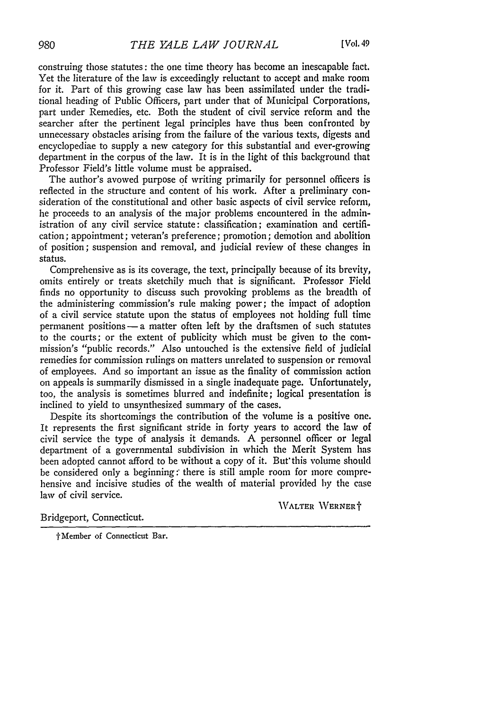construing those statutes: the one time theory has become an inescapable fact. Yet the literature of the law is exceedingly reluctant to accept and make room for it. Part of this growing case law has been assimilated under the traditional heading of Public Officers, part under that of Municipal Corporations, part under Remedies, etc. Both the student of civil service reform and the searcher after the pertinent legal principles have thus been confronted **by** unnecessary obstacles arising from the failure of the various texts, digests and encyclopediae to supply a new category for this substantial and ever-growing department in the corpus of the law. It is in the light of this background that Professor Field's little volume must be appraised.

The author's avowed purpose of writing primarily for personnel officers is reflected in the structure and content of his work. After a preliminary consideration of the constitutional and other basic aspects of civil service reform, he proceeds to an analysis of the major problems encountered in the administration of any civil service statute: classification; examination and certification; appointment; veteran's preference; promotion; demotion and abolition of position; suspension and removal, and judicial review of these changes in status.

Comprehensive as is its coverage, the text, principally because of its brevity, omits entirely or treats sketchily much that is significant. Professor Field finds no opportunity to discuss such provoking problems as the breadth of the administering commission's rule making power; the impact of adoption of a civil service statute upon the status of employees not holding full time permanent positions- a matter often left **by** the draftsmen of such statutes to the courts; or the extent of publicity which must be given to the conimission's "public records." Also untouched is the extensive field of judicial remedies for commission rulings on matters unrelated to suspension or removal of employees. And so important an issue as the finality of commission action on appeals is summarily dismissed in a single inadequate page. Unfortunately, too, the analysis is sometimes blurred and indefinite; logical presentation is inclined to yield to unsynthesized summary of the cases.

Despite its shortcomings the contribution of the volume is a positive one. It represents the first significant stride in forty years to accord the law of civil service the type of analysis it demands. **A** personnel officer or legal department of a governmental subdivision in which the Merit System has been adopted cannot afford to be without a copy of it. But'this volume should be considered only a beginning **:** there is still ample room for more comprehensive and incisive studies of the wealth of material provided **by** the case law of civil service.

WALTER WERNERT

Bridgeport, Connecticut.

 $\dagger$ Member of Connecticut Bar.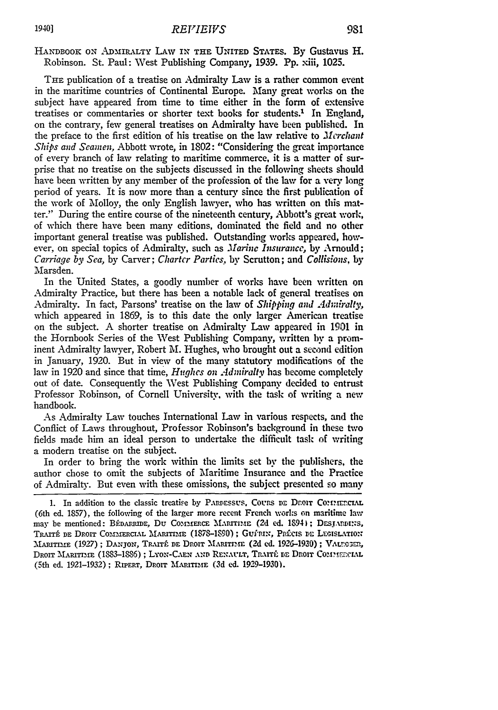HANDBOOK ON ADMIRALTY LAW IN THE UNITED STATES. By Gustavus H. Robinson. St. Paul: West Publishing Company, 1939. **Pp.** xiii, 1025.

THE publication of a treatise on Admiralty Law is a rather common event in the maritime countries of Continental Europe. Many great works on the subject have appeared from time to time either in the form of extensive treatises or commentaries or shorter text books for students.' In England, on the contrary, few general treatises on Admiralty have been published. In the preface to the first edition of his treatise on the law relative to *Merchant Ships and* Seamen, Abbott wrote, in 1802: "Considering the great importance of every branch of law relating to maritime commerce, it is a matter of surprise that no treatise on the subjects discussed in the following sheets should have been written by any member of the profession of the law for a very long period of years. It is now more than a century since the first publication of the work of Molloy, the only English lawyer, who has written on this matter." During the entire course of the nineteenth century, Abbott's great work, of which there have been many editions, dominated the field and no other important general treatise was published. Outstanding works appeared, however, on special topics of Admiralty, such as *Marine Insurance*, by Arnould; *Carriage by Sea,* by Carver; *Charter Parties,* by Scrutton; and *Collisions, by* Marsden.

In the United States, a goodly number of works have been written on Admiralty Practice, but there has been a notable lack of general treatises on Admiralty. In fact, Parsons' treatise on the law of *Shipping and Admiralty,* which appeared in 1869, is to this date the only larger American treatise on the subject. **A** shorter treatise on Admiralty Law appeared in 1901 in the Hombook Series of the West Publishing Company, written by a prominent Admiralty lawyer, Robert M. Hughes, who brought out a second edition in January, 1920. But in view of the many statutory modifications of the law in 1920 and since that time, *Hughes on Admiralty* has become completely out of date. Consequently the West Publishing Company decided to entrust Professor Robinson, of Cornell Universitv, with the task of writing a new handbook.

As Admiralty Law touches International Law in various respects, and the Conflict of Laws throughout, Professor Robinson's background in these two fields made him an ideal person to undertake the difficult task of writing a modem treatise on the subject.

In order to bring the work within the limits set by the publishers, the author chose to omit the subjects of Maritime Insurance and the Practice of Admiralty. But even with these omissions, the subject presented so many

<sup>1.</sup> In addition to the classic treatise by PARDESSUS, COURS DE DROIT COMMERCIAL (6th ed. 1857), the following of the larger more recent French works on maritime law may be mentioned: BÉDARRIDE, DU COMMERCE MARITIME (2d ed. 1894); DESJARDINS, TRAITÉ DE DROIT COMMERCIAL MARITIME (1878-1890); GUIRIN, PRÉCIS DE LEGISLATION **MARITIME (1927); DANJON, TRAITÉ DE DROIT MARITIME (2d ed. 1926-1930); VALCOSET.** DROIT MARITIME (1883-1886); LYON-CAEN AND RENAULT. TRAITÉ DE DROIT COMMERCIAL (5th ed. 1921-1932); **RIPERT,** Drorr **MARITIME** *(3d* ed. 1929-1930).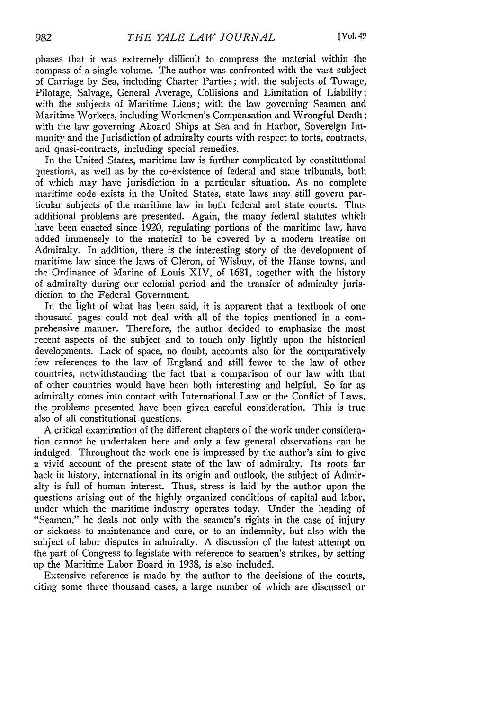phases that it was extremely difficult to compress the material within the compass of a single volume. The author was confronted with the vast subject of Carriage by Sea, including Charter Parties; with the subjects of Towage, Pilotage, Salvage, General Average, Collisions and Limitation of Liability; with the subjects of Maritime Liens; with the law governing Seamen and Maritime Workers, including Workmen's Compensation and Wrongful Death; with the law governing Aboard Ships at Sea and in Harbor, Sovereign Immunity and the Jurisdiction of admiralty courts with respect to torts, contracts, and quasi-contracts, including special remedies.

In the United States, maritime law is further complicated by constitutional questions, as well as by the co-existence of federal and state tribunals, both of which may have jurisdiction in a particular situation. As no complete maritime code exists in the United States, state laws may still govern particular subjects of the maritime law in both federal and state courts. Thus additional problems are presented. Again, the many federal statutes which have been enacted since 1920, regulating portions of the maritime law, have added immensely to the material to be covered by a modern treatise on Admiralty. In addition, there is the interesting story of the development of maritime law since the laws of Oleron, of Wisbuy, of the Hanse towns, and the Ordinance of Marine of Louis XIV, of 1681, together with the history of admiralty during our colonial period and the transfer of admiralty jurisdiction to the Federal Government.

In the light of what has been said, it is apparent that a textbook of one thousand pages could not deal with all of the topics mentioned in a comprehensive manner. Therefore, the author decided to emphasize the most recent aspects of the subject and to touch only lightly upon the historical developments. Lack of space, no doubt, accounts also for the comparatively few references to the law of England and still fewer to the law of other countries, notwithstanding the fact that a comparison of our law with that of other countries would have been both interesting and helpful. So far as admiralty comes into contact with International Law or the Conflict of Laws, the problems presented have been given careful consideration. This is true also of all constitutional questions.

A critical examination of the different chapters of the work under consideration cannot be undertaken here and only a few general observations can be indulged. Throughout the work one is impressed by the author's aim to give a vivid account of the present state of the law of admiralty. Its roots far back in history, international in its origin and outlook, the subject of Admiralty is full of human interest. Thus, stress is laid by the author upon the questions arising out of the highly organized conditions of capital and labor, under which the maritime industry operates today. Under the heading of "Seamen," he deals not only with the seamen's rights in the case of injury or sickness to maintenance and cure, or to an indemnity, but also with the subject of labor disputes in admiralty. A discussion of the latest attempt on the part of Congress to legislate with reference to seamen's strikes, by setting up the Maritime Labor Board in 1938, is also included.

Extensive reference is made by the author to the decisions of the courts, citing some three thousand cases, a large number of which are discussed or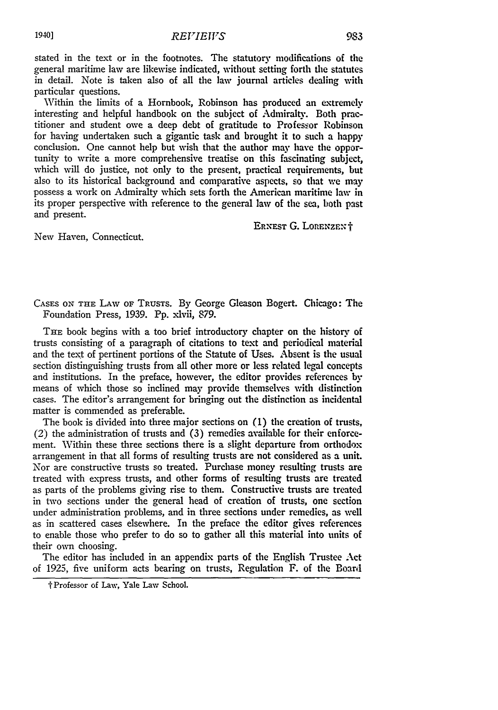stated in the text or in the footnotes. The statutory modifications of the general maritime law are likewise indicated, without setting forth the statutes in detail. Note is taken also of all the law journal articles dealing with particular questions.

Within the limits of a Hornbook, Robinson has produced an extremely interesting and helpful handbook on the subject of Admiralty. Both practitioner and student owe a deep debt of gratitude to Professor Robinson for having undertaken such a gigantic task and brought it to such a happy conclusion. One cannot help but wish that the author may have the opportunity to write a more comprehensive treatise on this fascinating subject, which will do justice, not only to the present, practical requirements, but also to its historical background and comparative aspects, so that we may possess a work on Admiralty which sets forth the American maritime law in its proper perspective with reference to the general law of the sea, both past and present.

New Haven, Connecticut.

ERNEST G. LORENZEN<sup>+</sup>

CASES **ON THE** LAW **OF** TRUSTS. By George Gleason Bogert. Chicago: The Foundation Press, 1939. Pp. xlvii, 879.

THE book begins with a too brief introductory chapter on the history of trusts consisting of a paragraph of citations to text and periodical material and the text of pertinent portions of the Statute of Uses. Absent is the usual section distinguishing trusts from all other more or less related legal concepts and institutions. In the preface, however, the editor provides references by means of which those so inclined may provide themselves with distinction cases. The editor's arrangement for bringing out the distinction as incidental matter is commended as preferable.

The book is divided into three major sections on (1) the creation of trusts, (2) the administration of trusts and (3) remedies available for their enforcement. Within these three sections there is a slight departure from orthodox arrangement in that all forms of resulting trusts are not considered as a unit. Nor are constructive trusts so treated. Purchase money resulting trusts are treated with express trusts, and other forms of resulting trusts are treated as parts of the problems giving rise to them. Constructive trusts are treated in two sections under the general head of creation of trusts, one section under administration problems, and in three sections under remedies, as well as in scattered cases elsewhere. In the preface the editor gives references to enable those who prefer to do so to gather all this material into units of their own choosing.

The editor has included in an appendix parts of the English Trustee Act of 1925, five uniform acts bearing on trusts, Regulation F. of the Board

*t* Professor of Law, Yale Law School.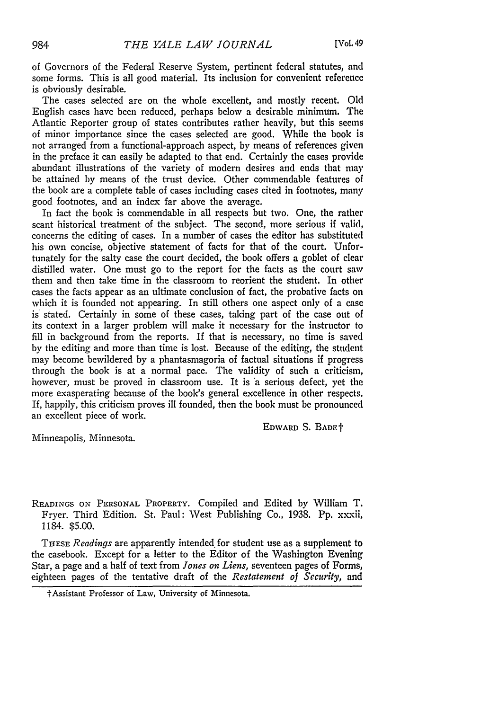of Governors of the Federal Reserve System, pertinent federal statutes, and some forms. This is all good material. Its inclusion for convenient reference is obviously desirable.

The cases selected are on the whole excellent, and mostly recent. Old English cases have been reduced, perhaps below a desirable minimum. The Atlantic Reporter group of states contributes rather heavily, but this seems of minor importance since the cases selected are good. While the book is not arranged from a functional-approach aspect, by means of references given in the preface it can easily be adapted to that end. Certainly the cases provide abundant illustrations of the variety of modern desires and ends that may be attained by means of the trust device. Other commendable features of the book are a complete table of cases including cases cited in footnotes, many good footnotes, and an index far above the average.

In fact the book is commendable in all respects but two. One, the rather scant historical treatment of the subject. The second, more serious if valid, concerns the editing of cases. In a number of cases the editor has substituted his own concise, objective statement of facts for that of the court. Unfortunately for the salty case the court decided, the book offers a goblet of clear distilled water. One must go to the report for the facts as the court saw them and then take time in the classroom to reorient the student. In other cases the facts appear as an ultimate conclusion of fact, the probative facts on which it is founded not appearing. In still others one aspect only of a case is stated. Certainly in some of these cases, taking part of the case out of its context in a larger problem will make it necessary for the instructor to fill in background from the reports. If that is necessary, no time is saved by the editing and more than time is lost. Because of the editing, the student may become bewildered by a phantasmagoria of factual situations if progress through the book is at a normal pace. The validity of such a criticism, however, must be proved in classroom use. It is 'a serious defect, yet the more exasperating because of the book's general excellence in other respects. If, happily, this criticism proves ill founded, then the book must be pronounced an excellent piece of work.

EDWARD S. BADE

Minneapolis, Minnesota.

READINGS **ON PERSONAL** PROPERTY. Compiled and Edited by William T. Fryer. Third Edition. St. Paul: West Publishing Co., 1938. Pp. xxxii, 1184. \$5.00.

THiESE *Readings* are apparently intended for student use as a supplement to the casebook. Except for a letter to the Editor of the Washington Evening Star, a page and a half of text from *Jones on Liens,* seventeen pages of Forms, eighteen pages of the tentative draft of the *Restatement of Security, and*

**<sup>1</sup>** Assistant Professor of Law, University of Minnesota.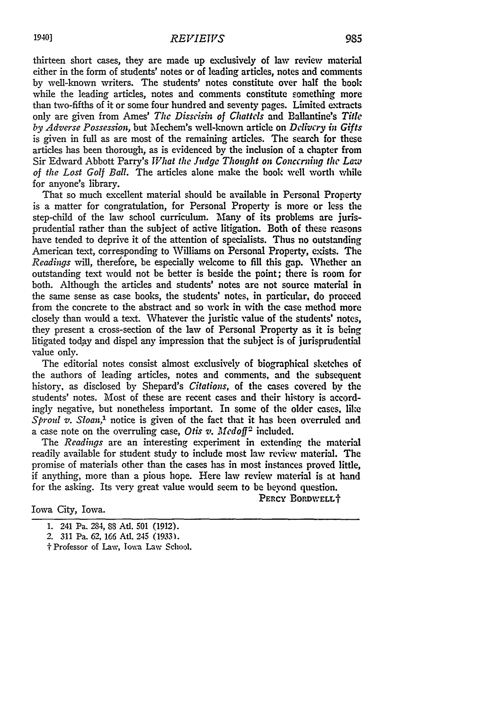thirteen short cases, they are made up exclusively of law review material either in the form of students' notes or of leading articles, notes and comments **by** well-known writers. The students' notes constitute over half the book while the leading articles, notes and comments constitute something more than two-fifths of it or some four hundred and seventy pages. Limited extracts only are given from Ames' *The Disseisin of Chattels* and Ballantine's *Title by Adverse Possession,* but Mechem's well-known article on *Delivery in Gifts* is given in full as are most of the remaining articles. The search for these articles has been thorough, as is evidenced by the inclusion of a chapter from Sir Edward Abbott Parry's *What the Judge Thought on Conccrning the Lauzz of the Lost Golf Ball.* The articles alone make the book well worth while for anyone's library.

That so much excellent material should be available in Personal Property is a matter for congratulation, for Personal Property is more or less the step-child of the law school curriculum. Many of its problems are jurisprudential rather than the subject of active litigation. Both of these reasons have tended to deprive it of the attention of specialists. Thus no outstanding American text, corresponding to Williams on Personal Property, exists. The *Readings* will, therefore, be especially welcome to **fill** this gap. Whether an outstanding text would not be better is beside the point; there is room for both. Although the articles and students' notes are not source material in the same sense as case books, the students' notes, in particular, do proceed from the concrete to the abstract and so work in with the case method more closely than would a text. Whatever the juristic value of the students' notes, they present a cross-section of the law of Personal Property as it is being litigated today and dispel any impression that the subject is of jurisprudential value only.

The editorial notes consist almost exclusively of biographical sketches of the authors of leading articles, notes and comments, and the subsequent history, as disclosed by Shepard's *Citations,* of the cases covered **by** the students' notes. Most of these are recent cases and their history is accordingly negative, but nonetheless important. In some of the older cases, like *Sproul v. Sloan,'* notice is given of the fact that it has been overruled and a case note on the overruling case, *Otis v. Medoff<sup>2</sup>* included.

The *Readings* are an interesting experiment in extending the material readily available for student study to include most law review material. The promise of materials other than the cases has in most instances proved little, if anything, more than a pious hope. Here law review material is at hand for the asking. Its very great value would seem to be beyond question.

PERCY BORDWELL<sup>+</sup>

Iowa City, Iowa.

**1** Professor of Law, Iowa Law School.

<sup>1. 241</sup> Pa. 284, **88** AtI. **501** (1912).

<sup>2.</sup> **311** Pa. 62, **166** Ad. 245 **(1933).**